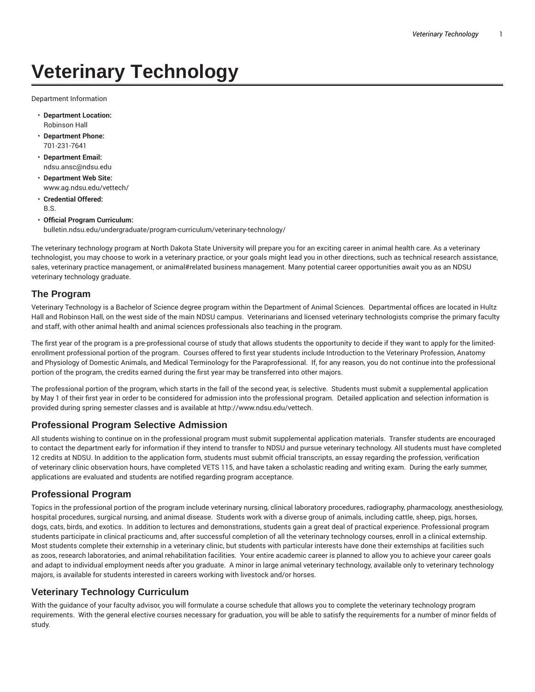# **Veterinary Technology**

Department Information

- **Department Location:** Robinson Hall
- **Department Phone:** 701-231-7641
- **Department Email:** ndsu.ansc@ndsu.edu
- **Department Web Site:** www.ag.ndsu.edu/vettech/
- **Credential Offered:** B.S.
- **Official Program Curriculum:** bulletin.ndsu.edu/undergraduate/program-curriculum/veterinary-technology/

The veterinary technology program at North Dakota State University will prepare you for an exciting career in animal health care. As a veterinary technologist, you may choose to work in a veterinary practice, or your goals might lead you in other directions, such as technical research assistance, sales, veterinary practice management, or animal#related business management. Many potential career opportunities await you as an NDSU veterinary technology graduate.

## **The Program**

Veterinary Technology is a Bachelor of Science degree program within the Department of Animal Sciences. Departmental offices are located in Hultz Hall and Robinson Hall, on the west side of the main NDSU campus. Veterinarians and licensed veterinary technologists comprise the primary faculty and staff, with other animal health and animal sciences professionals also teaching in the program.

The first year of the program is a pre-professional course of study that allows students the opportunity to decide if they want to apply for the limitedenrollment professional portion of the program. Courses offered to first year students include Introduction to the Veterinary Profession, Anatomy and Physiology of Domestic Animals, and Medical Terminology for the Paraprofessional. If, for any reason, you do not continue into the professional portion of the program, the credits earned during the first year may be transferred into other majors.

The professional portion of the program, which starts in the fall of the second year, is selective. Students must submit a supplemental application by May 1 of their first year in order to be considered for admission into the professional program. Detailed application and selection information is provided during spring semester classes and is available at http://www.ndsu.edu/vettech.

## **Professional Program Selective Admission**

All students wishing to continue on in the professional program must submit supplemental application materials. Transfer students are encouraged to contact the department early for information if they intend to transfer to NDSU and pursue veterinary technology. All students must have completed 12 credits at NDSU. In addition to the application form, students must submit official transcripts, an essay regarding the profession, verification of veterinary clinic observation hours, have completed VETS 115, and have taken a scholastic reading and writing exam. During the early summer, applications are evaluated and students are notified regarding program acceptance.

#### **Professional Program**

Topics in the professional portion of the program include veterinary nursing, clinical laboratory procedures, radiography, pharmacology, anesthesiology, hospital procedures, surgical nursing, and animal disease. Students work with a diverse group of animals, including cattle, sheep, pigs, horses, dogs, cats, birds, and exotics. In addition to lectures and demonstrations, students gain a great deal of practical experience. Professional program students participate in clinical practicums and, after successful completion of all the veterinary technology courses, enroll in a clinical externship. Most students complete their externship in a veterinary clinic, but students with particular interests have done their externships at facilities such as zoos, research laboratories, and animal rehabilitation facilities. Your entire academic career is planned to allow you to achieve your career goals and adapt to individual employment needs after you graduate. A minor in large animal veterinary technology, available only to veterinary technology majors, is available for students interested in careers working with livestock and/or horses.

#### **Veterinary Technology Curriculum**

With the guidance of your faculty advisor, you will formulate a course schedule that allows you to complete the veterinary technology program requirements. With the general elective courses necessary for graduation, you will be able to satisfy the requirements for a number of minor fields of study.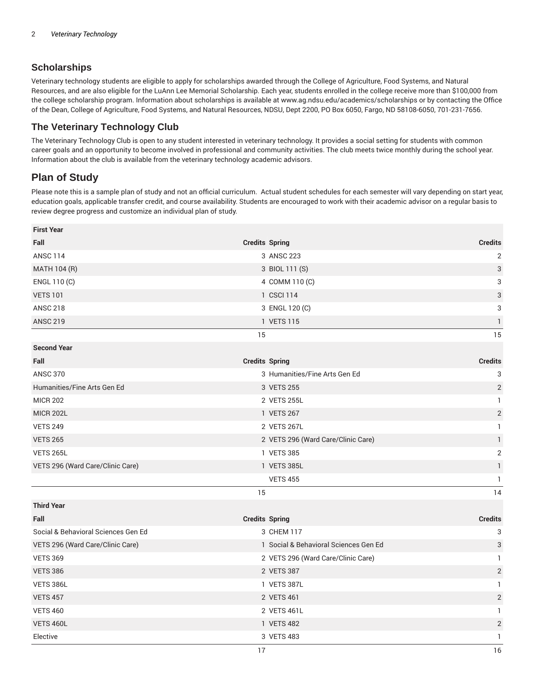## **Scholarships**

Veterinary technology students are eligible to apply for scholarships awarded through the College of Agriculture, Food Systems, and Natural Resources, and are also eligible for the LuAnn Lee Memorial Scholarship. Each year, students enrolled in the college receive more than \$100,000 from the college scholarship program. Information about scholarships is available at www.ag.ndsu.edu/academics/scholarships or by contacting the Office of the Dean, College of Agriculture, Food Systems, and Natural Resources, NDSU, Dept 2200, PO Box 6050, Fargo, ND 58108-6050, 701-231-7656.

## **The Veterinary Technology Club**

The Veterinary Technology Club is open to any student interested in veterinary technology. It provides a social setting for students with common career goals and an opportunity to become involved in professional and community activities. The club meets twice monthly during the school year. Information about the club is available from the veterinary technology academic advisors.

## **Plan of Study**

Please note this is a sample plan of study and not an official curriculum. Actual student schedules for each semester will vary depending on start year, education goals, applicable transfer credit, and course availability. Students are encouraged to work with their academic advisor on a regular basis to review degree progress and customize an individual plan of study.

| <b>First Year</b>                   |                       |                                       |                |
|-------------------------------------|-----------------------|---------------------------------------|----------------|
| Fall                                | <b>Credits Spring</b> |                                       | <b>Credits</b> |
| <b>ANSC 114</b>                     |                       | 3 ANSC 223                            | $\overline{2}$ |
| MATH 104 (R)                        |                       | 3 BIOL 111 (S)                        | 3              |
| ENGL 110 (C)                        |                       | 4 COMM 110 (C)                        | 3              |
| <b>VETS 101</b>                     |                       | 1 CSCI 114                            | 3              |
| <b>ANSC 218</b>                     |                       | 3 ENGL 120 (C)                        | 3              |
| <b>ANSC 219</b>                     |                       | 1 VETS 115                            | 1              |
|                                     | 15                    |                                       | 15             |
| <b>Second Year</b>                  |                       |                                       |                |
| Fall                                | <b>Credits Spring</b> |                                       | <b>Credits</b> |
| <b>ANSC 370</b>                     |                       | 3 Humanities/Fine Arts Gen Ed         | 3              |
| Humanities/Fine Arts Gen Ed         |                       | 3 VETS 255                            | $\sqrt{2}$     |
| <b>MICR 202</b>                     |                       | 2 VETS 255L                           | 1              |
| <b>MICR 202L</b>                    |                       | 1 VETS 267                            | $\sqrt{2}$     |
| <b>VETS 249</b>                     |                       | 2 VETS 267L                           | $\mathbf{1}$   |
| <b>VETS 265</b>                     |                       | 2 VETS 296 (Ward Care/Clinic Care)    | $\mathbf{1}$   |
| <b>VETS 265L</b>                    |                       | 1 VETS 385                            | $\sqrt{2}$     |
| VETS 296 (Ward Care/Clinic Care)    |                       | 1 VETS 385L                           | $\mathbf{1}$   |
|                                     |                       | <b>VETS 455</b>                       | $\mathbf{1}$   |
|                                     | 15                    |                                       | 14             |
| <b>Third Year</b>                   |                       |                                       |                |
| Fall                                | <b>Credits Spring</b> |                                       | <b>Credits</b> |
| Social & Behavioral Sciences Gen Ed |                       | 3 CHEM 117                            | 3              |
| VETS 296 (Ward Care/Clinic Care)    |                       | 1 Social & Behavioral Sciences Gen Ed | 3              |
| <b>VETS 369</b>                     |                       | 2 VETS 296 (Ward Care/Clinic Care)    | $\mathbf{1}$   |
| <b>VETS 386</b>                     |                       | 2 VETS 387                            | $\overline{2}$ |
| VETS 386L                           |                       | 1 VETS 387L                           | $\mathbf{1}$   |
| <b>VETS 457</b>                     |                       | 2 VETS 461                            | $\sqrt{2}$     |
| <b>VETS 460</b>                     |                       | 2 VETS 461L                           | 1              |
| VETS 460L                           |                       | 1 VETS 482                            | $\overline{2}$ |
| Elective                            |                       | 3 VETS 483                            | 1              |
|                                     | 17                    |                                       | 16             |